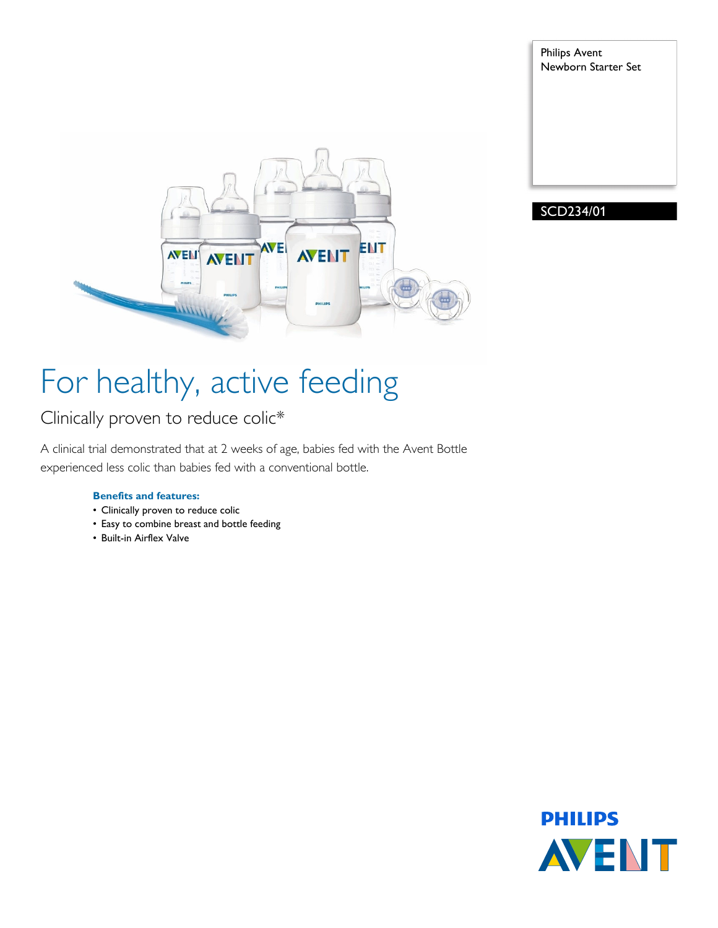



Philips Avent

Newborn Starter Set

## For healthy, active feeding

### Clinically proven to reduce colic\*

A clinical trial demonstrated that at 2 weeks of age, babies fed with the Avent Bottle experienced less colic than babies fed with a conventional bottle.

#### **Benefits and features:**

- Clinically proven to reduce colic
- Easy to combine breast and bottle feeding
- Built-in Airflex Valve